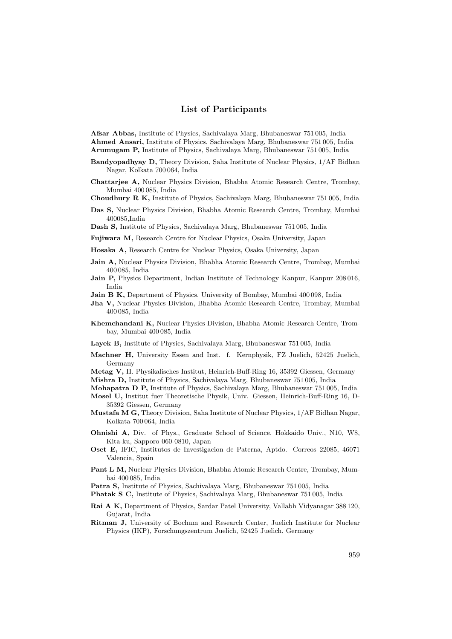## List of Participants

Afsar Abbas, Institute of Physics, Sachivalaya Marg, Bhubaneswar 751 005, India Ahmed Ansari, Institute of Physics, Sachivalaya Marg, Bhubaneswar 751 005, India Arumugam P, Institute of Physics, Sachivalaya Marg, Bhubaneswar 751 005, India

- Bandyopadhyay D, Theory Division, Saha Institute of Nuclear Physics, 1/AF Bidhan Nagar, Kolkata 700 064, India
- Chattarjee A, Nuclear Physics Division, Bhabha Atomic Research Centre, Trombay, Mumbai 400 085, India
- Choudhury R K, Institute of Physics, Sachivalaya Marg, Bhubaneswar 751 005, India
- Das S, Nuclear Physics Division, Bhabha Atomic Research Centre, Trombay, Mumbai 400085,India

Dash S, Institute of Physics, Sachivalaya Marg, Bhubaneswar 751 005, India

Fujiwara M, Research Centre for Nuclear Physics, Osaka University, Japan

- Hosaka A, Research Centre for Nuclear Physics, Osaka University, Japan
- Jain A, Nuclear Physics Division, Bhabha Atomic Research Centre, Trombay, Mumbai 400 085, India
- Jain P, Physics Department, Indian Institute of Technology Kanpur, Kanpur 208 016, India
- Jain B K, Department of Physics, University of Bombay, Mumbai 400 098, India
- Jha V, Nuclear Physics Division, Bhabha Atomic Research Centre, Trombay, Mumbai 400 085, India
- Khemchandani K, Nuclear Physics Division, Bhabha Atomic Research Centre, Trombay, Mumbai 400 085, India
- Layek B, Institute of Physics, Sachivalaya Marg, Bhubaneswar 751 005, India
- Machner H, University Essen and Inst. f. Kernphysik, FZ Juelich, 52425 Juelich, Germany
- Metag V, II. Physikalisches Institut, Heinrich-Buff-Ring 16, 35392 Giessen, Germany
- Mishra D, Institute of Physics, Sachivalaya Marg, Bhubaneswar 751 005, India
- Mohapatra D P, Institute of Physics, Sachivalaya Marg, Bhubaneswar 751 005, India Mosel U, Institut fuer Theoretische Physik, Univ. Giessen, Heinrich-Buff-Ring 16, D-35392 Giessen, Germany
- Mustafa M G, Theory Division, Saha Institute of Nuclear Physics, 1/AF Bidhan Nagar, Kolkata 700 064, India
- Ohnishi A, Div. of Phys., Graduate School of Science, Hokkaido Univ., N10, W8, Kita-ku, Sapporo 060-0810, Japan
- Oset E, IFIC, Institutos de Investigacion de Paterna, Aptdo. Correos 22085, 46071 Valencia, Spain
- Pant L M, Nuclear Physics Division, Bhabha Atomic Research Centre, Trombay, Mumbai 400 085, India
- Patra S, Institute of Physics, Sachivalaya Marg, Bhubaneswar 751 005, India

Phatak S C, Institute of Physics, Sachivalaya Marg, Bhubaneswar 751 005, India

- Rai A K, Department of Physics, Sardar Patel University, Vallabh Vidyanagar 388 120, Gujarat, India
- Ritman J, University of Bochum and Research Center, Juelich Institute for Nuclear Physics (IKP), Forschungszentrum Juelich, 52425 Juelich, Germany